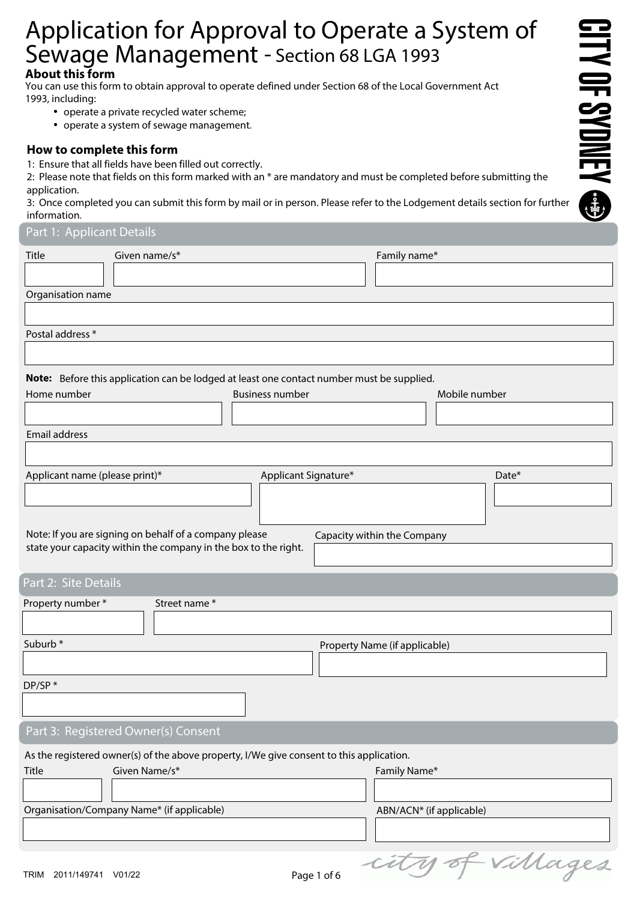# Application for Approval to Operate a System of Sewage Management - Section 68 LGA 1993

# **About this form**

You can use this form to obtain approval to operate defined under Section 68 of the Local Government Act 1993, including:

- operate a private recycled water scheme;
- operate a system of sewage management.

# **How to complete this form**

1: Ensure that all fields have been filled out correctly.

2: Please note that fields on this form marked with an  $*$  are mandatory and must be completed before submitting the application.

3: Once completed you can submit this form by mail or in person. Please refer to the Lodgement details section for further information.

## Part 1: Applicant Details

| Title                                      | Given name/s*                                                                             |                        |                               | Family name*             |               |                  |
|--------------------------------------------|-------------------------------------------------------------------------------------------|------------------------|-------------------------------|--------------------------|---------------|------------------|
|                                            |                                                                                           |                        |                               |                          |               |                  |
| Organisation name                          |                                                                                           |                        |                               |                          |               |                  |
|                                            |                                                                                           |                        |                               |                          |               |                  |
| Postal address *                           |                                                                                           |                        |                               |                          |               |                  |
|                                            |                                                                                           |                        |                               |                          |               |                  |
|                                            | Note: Before this application can be lodged at least one contact number must be supplied. |                        |                               |                          |               |                  |
| Home number                                |                                                                                           | <b>Business number</b> |                               |                          | Mobile number |                  |
|                                            |                                                                                           |                        |                               |                          |               |                  |
| Email address                              |                                                                                           |                        |                               |                          |               |                  |
|                                            |                                                                                           |                        |                               |                          |               |                  |
| Applicant name (please print)*             |                                                                                           | Applicant Signature*   |                               |                          |               | Date*            |
|                                            |                                                                                           |                        |                               |                          |               |                  |
|                                            |                                                                                           |                        |                               |                          |               |                  |
|                                            | Note: If you are signing on behalf of a company please                                    |                        | Capacity within the Company   |                          |               |                  |
|                                            | state your capacity within the company in the box to the right.                           |                        |                               |                          |               |                  |
|                                            |                                                                                           |                        |                               |                          |               |                  |
| Part 2: Site Details                       |                                                                                           |                        |                               |                          |               |                  |
| Property number *                          | Street name*                                                                              |                        |                               |                          |               |                  |
|                                            |                                                                                           |                        |                               |                          |               |                  |
| Suburb*                                    |                                                                                           |                        | Property Name (if applicable) |                          |               |                  |
|                                            |                                                                                           |                        |                               |                          |               |                  |
| DP/SP*                                     |                                                                                           |                        |                               |                          |               |                  |
|                                            |                                                                                           |                        |                               |                          |               |                  |
|                                            | Part 3: Registered Owner(s) Consent                                                       |                        |                               |                          |               |                  |
|                                            | As the registered owner(s) of the above property, I/We give consent to this application.  |                        |                               |                          |               |                  |
| Title                                      | Given Name/s*                                                                             |                        |                               | Family Name*             |               |                  |
|                                            |                                                                                           |                        |                               |                          |               |                  |
| Organisation/Company Name* (if applicable) |                                                                                           |                        |                               | ABN/ACN* (if applicable) |               |                  |
|                                            |                                                                                           |                        |                               |                          |               |                  |
|                                            |                                                                                           |                        |                               |                          |               |                  |
| TRIM 2011/149741 V01/22                    |                                                                                           |                        | Page 1 of 6                   |                          |               | city of villages |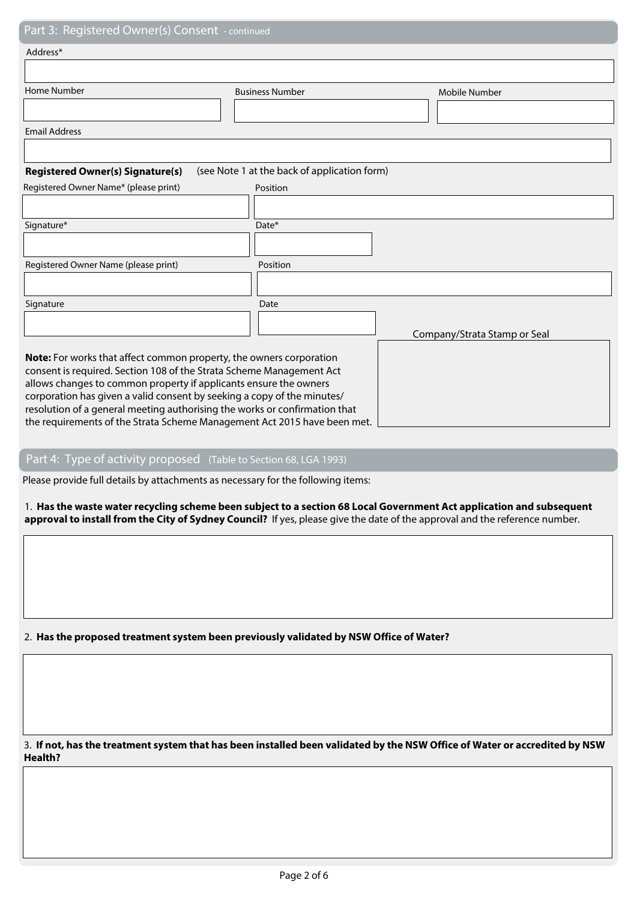| i dit J. Registered Owner(3) Consent Floringed                             |                                              |                              |  |  |  |  |
|----------------------------------------------------------------------------|----------------------------------------------|------------------------------|--|--|--|--|
| Address*                                                                   |                                              |                              |  |  |  |  |
|                                                                            |                                              |                              |  |  |  |  |
| <b>Home Number</b>                                                         | <b>Business Number</b>                       | Mobile Number                |  |  |  |  |
|                                                                            |                                              |                              |  |  |  |  |
| <b>Email Address</b>                                                       |                                              |                              |  |  |  |  |
|                                                                            |                                              |                              |  |  |  |  |
| <b>Registered Owner(s) Signature(s)</b>                                    | (see Note 1 at the back of application form) |                              |  |  |  |  |
| Registered Owner Name* (please print)                                      | Position                                     |                              |  |  |  |  |
|                                                                            |                                              |                              |  |  |  |  |
| Signature*                                                                 | Date*                                        |                              |  |  |  |  |
|                                                                            |                                              |                              |  |  |  |  |
| Registered Owner Name (please print)                                       | Position                                     |                              |  |  |  |  |
|                                                                            |                                              |                              |  |  |  |  |
| Signature                                                                  | Date                                         |                              |  |  |  |  |
|                                                                            |                                              |                              |  |  |  |  |
|                                                                            |                                              | Company/Strata Stamp or Seal |  |  |  |  |
| Note: For works that affect common property, the owners corporation        |                                              |                              |  |  |  |  |
| consent is required. Section 108 of the Strata Scheme Management Act       |                                              |                              |  |  |  |  |
| allows changes to common property if applicants ensure the owners          |                                              |                              |  |  |  |  |
| corporation has given a valid consent by seeking a copy of the minutes/    |                                              |                              |  |  |  |  |
| resolution of a general meeting authorising the works or confirmation that |                                              |                              |  |  |  |  |
| the requirements of the Strata Scheme Management Act 2015 have been met.   |                                              |                              |  |  |  |  |

## Part 4: Type of activity proposed (Table to Section 68, LGA 1993)

Please provide full details by attachments as necessary for the following items:

1. **Has the waste water recycling scheme been subject to a section 68 Local Government Act application and subsequent approval to install from the City of Sydney Council?** If yes, please give the date of the approval and the reference number.

2. **Has the proposed treatment system been previously validated by NSW Office of Water?**

3. **If not, has the treatment system that has been installed been validated by the NSW Office of Water or accredited by NSW Health?**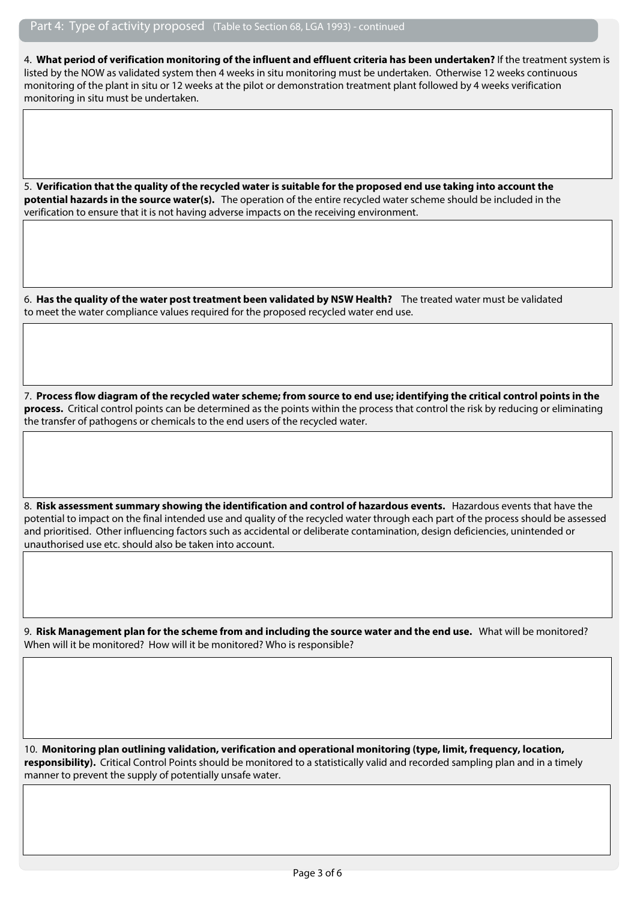4. **What period of verification monitoring of the influent and effluent criteria has been undertaken?** If the treatment system is listed by the NOW as validated system then 4 weeks in situ monitoring must be undertaken. Otherwise 12 weeks continuous monitoring of the plant in situ or 12 weeks at the pilot or demonstration treatment plant followed by 4 weeks verification monitoring in situ must be undertaken.

5. **Verification that the quality of the recycled water is suitable for the proposed end use taking into account the potential hazards in the source water(s).** The operation of the entire recycled water scheme should be included in the verification to ensure that it is not having adverse impacts on the receiving environment.

6. **Has the quality of the water post treatment been validated by NSW Health?** The treated water must be validated to meet the water compliance values required for the proposed recycled water end use.

7. **Process flow diagram of the recycled water scheme; from source to end use; identifying the critical control points in the process.** Critical control points can be determined as the points within the process that control the risk by reducing or eliminating the transfer of pathogens or chemicals to the end users of the recycled water.

8. **Risk assessment summary showing the identification and control of hazardous events.** Hazardous events that have the potential to impact on the final intended use and quality of the recycled water through each part of the process should be assessed and prioritised. Other influencing factors such as accidental or deliberate contamination, design deficiencies, unintended or unauthorised use etc. should also be taken into account.

9. **Risk Management plan for the scheme from and including the source water and the end use.** What will be monitored? When will it be monitored? How will it be monitored? Who is responsible?

10. **Monitoring plan outlining validation, verification and operational monitoring (type, limit, frequency, location, responsibility).** Critical Control Points should be monitored to a statistically valid and recorded sampling plan and in a timely manner to prevent the supply of potentially unsafe water.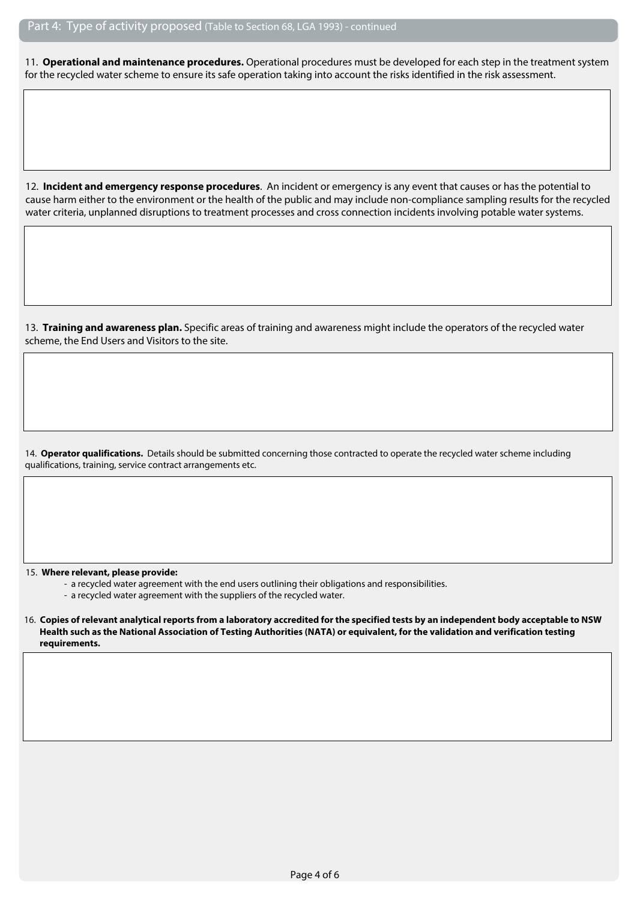11. **Operational and maintenance procedures.** Operational procedures must be developed for each step in the treatment system for the recycled water scheme to ensure its safe operation taking into account the risks identified in the risk assessment.

12. **Incident and emergency response procedures**. An incident or emergency is any event that causes or has the potential to cause harm either to the environment or the health of the public and may include non-compliance sampling results for the recycled water criteria, unplanned disruptions to treatment processes and cross connection incidents involving potable water systems.

13. **Training and awareness plan.** Specific areas of training and awareness might include the operators of the recycled water scheme, the End Users and Visitors to the site.

14. **Operator qualifications.** Details should be submitted concerning those contracted to operate the recycled water scheme including qualifications, training, service contract arrangements etc.

15. **Where relevant, please provide:**

- a recycled water agreement with the end users outlining their obligations and responsibilities.

- a recycled water agreement with the suppliers of the recycled water.

<sup>16.</sup> **Copies of relevant analytical reports from a laboratory accredited for the specified tests by an independent body acceptable to NSW Health such as the National Association of Testing Authorities (NATA) or equivalent, for the validation and verification testing requirements.**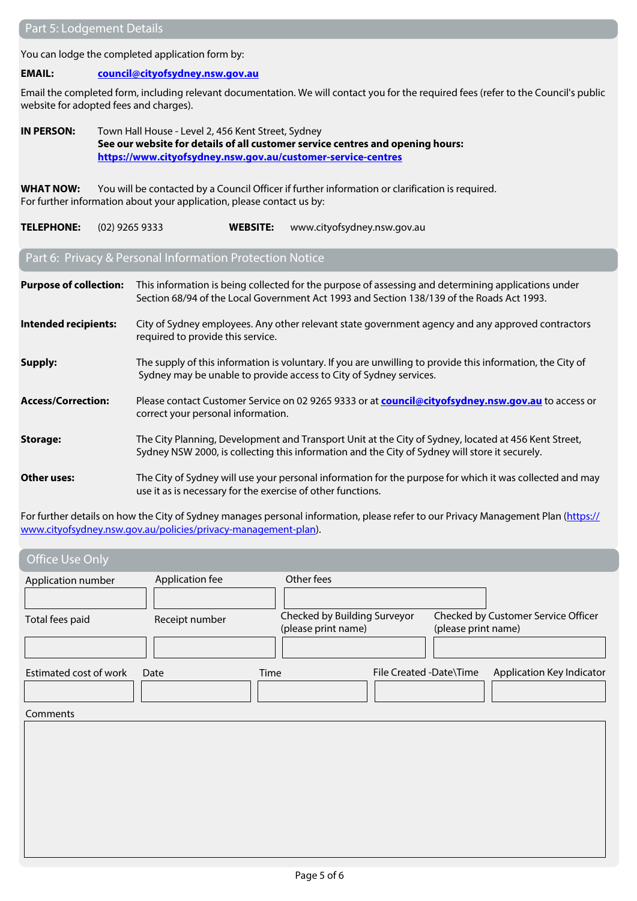You can lodge the completed application form by:

#### **EMAIL: [council@cityofsydney.nsw.gov.au](mailto:council@cityofsydney.nsw.gov.au)**

Email the completed form, including relevant documentation. We will contact you for the required fees (refer to the Council's public website for adopted fees and charges).

**IN PERSON:** Town Hall House - Level 2, 456 Kent Street, Sydney **See our website for details of all customer service centres and opening hours: <https://www.cityofsydney.nsw.gov.au/customer-service-centres>**

**WHAT NOW:** You will be contacted by a Council Officer if further information or clarification is required. For further information about your application, please contact us by:

#### **TELEPHONE:** (02) 9265 9333 **WEBSITE:** www.cityofsydney.nsw.gov.au

# Part 6: Privacy & Personal Information Protection Notice

| <b>Purpose of collection:</b> | This information is being collected for the purpose of assessing and determining applications under<br>Section 68/94 of the Local Government Act 1993 and Section 138/139 of the Roads Act 1993.       |
|-------------------------------|--------------------------------------------------------------------------------------------------------------------------------------------------------------------------------------------------------|
| Intended recipients:          | City of Sydney employees. Any other relevant state government agency and any approved contractors<br>required to provide this service.                                                                 |
| Supply:                       | The supply of this information is voluntary. If you are unwilling to provide this information, the City of<br>Sydney may be unable to provide access to City of Sydney services.                       |
| <b>Access/Correction:</b>     | Please contact Customer Service on 02 9265 9333 or at <b>council@cityofsydney.nsw.gov.au</b> to access or<br>correct your personal information.                                                        |
| <b>Storage:</b>               | The City Planning, Development and Transport Unit at the City of Sydney, located at 456 Kent Street,<br>Sydney NSW 2000, is collecting this information and the City of Sydney will store it securely. |
| Other uses:                   | The City of Sydney will use your personal information for the purpose for which it was collected and may<br>use it as is necessary for the exercise of other functions.                                |

For further details on how the City of Sydney manages personal information, please refer to our Privacy Management Plan ([https://](https://www.cityofsydney.nsw.gov.au/policies/privacy-management-plan) [www.cityofsydney.nsw.gov.au/policies/privacy-management-plan](https://www.cityofsydney.nsw.gov.au/policies/privacy-management-plan)).

| <b>Office Use Only</b>                |                                   |                                                                   |                         |                     |                                     |
|---------------------------------------|-----------------------------------|-------------------------------------------------------------------|-------------------------|---------------------|-------------------------------------|
| Application number<br>Total fees paid | Application fee<br>Receipt number | Other fees<br>Checked by Building Surveyor<br>(please print name) |                         | (please print name) | Checked by Customer Service Officer |
| Estimated cost of work                | Date                              | Time                                                              | File Created -Date\Time |                     | Application Key Indicator           |
| Comments                              |                                   |                                                                   |                         |                     |                                     |